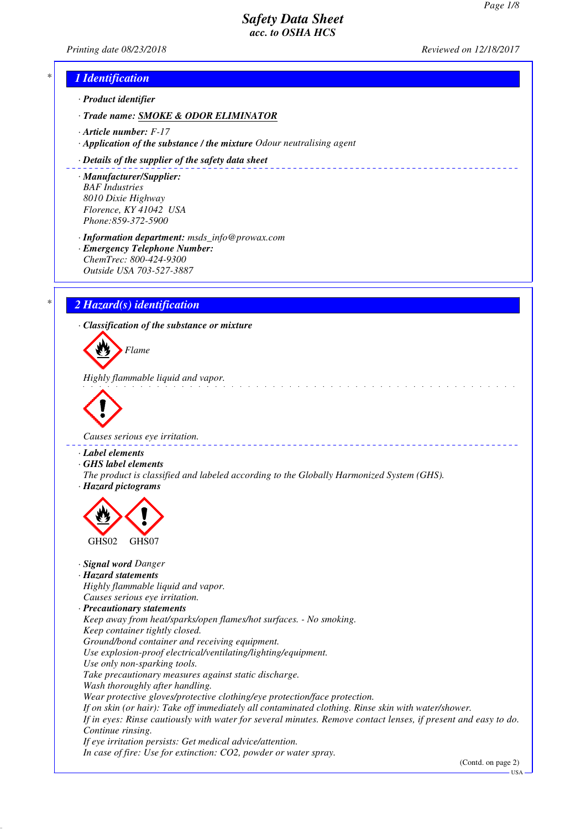*Printing date 08/23/2018 Reviewed on 12/18/2017*

# *\* 1 Identification*

*· Product identifier*

*· Trade name: SMOKE & ODOR ELIMINATOR*

*· Article number: F-17*

*· Application of the substance / the mixture Odour neutralising agent*

#### *· Details of the supplier of the safety data sheet*

*· Manufacturer/Supplier: BAF Industries 8010 Dixie Highway Florence, KY 41042 USA Phone:859-372-5900*

*· Information department: msds\_info@prowax.com*

*· Emergency Telephone Number: ChemTrec: 800-424-9300 Outside USA 703-527-3887*

# *\* 2 Hazard(s) identification*

*· Classification of the substance or mixture*

*Flame*

*Highly flammable liquid and vapor.* 



*Causes serious eye irritation.* 

*· Label elements*

*· GHS label elements*

*The product is classified and labeled according to the Globally Harmonized System (GHS). · Hazard pictograms*



*· Signal word Danger*

### *· Hazard statements*

*Highly flammable liquid and vapor. Causes serious eye irritation.*

- *· Precautionary statements*
- *Keep away from heat/sparks/open flames/hot surfaces. No smoking.*
- *Keep container tightly closed.*
- *Ground/bond container and receiving equipment.*
- *Use explosion-proof electrical/ventilating/lighting/equipment.*
- *Use only non-sparking tools.*
- *Take precautionary measures against static discharge.*
- *Wash thoroughly after handling.*

*Wear protective gloves/protective clothing/eye protection/face protection.*

*If on skin (or hair): Take off immediately all contaminated clothing. Rinse skin with water/shower.*

*If in eyes: Rinse cautiously with water for several minutes. Remove contact lenses, if present and easy to do. Continue rinsing.*

*If eye irritation persists: Get medical advice/attention. In case of fire: Use for extinction: CO2, powder or water spray.*

(Contd. on page 2)

USA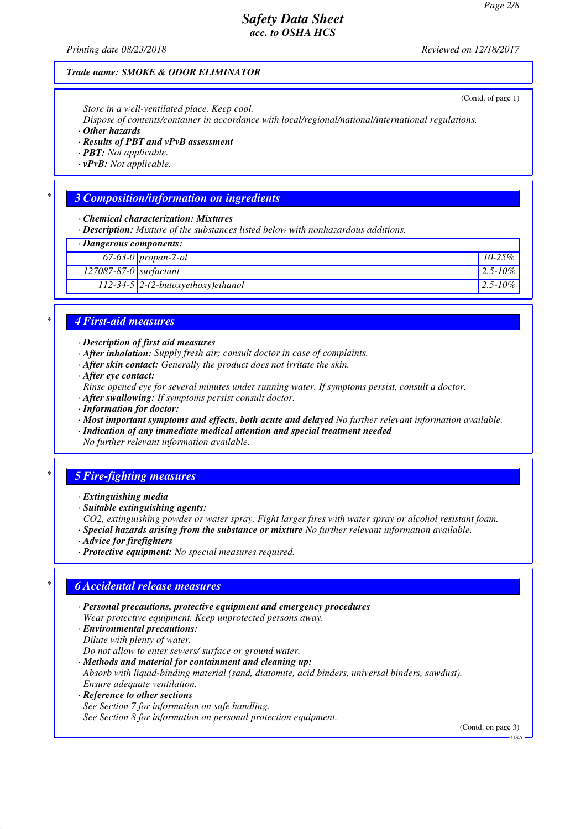*Printing date 08/23/2018 Reviewed on 12/18/2017*

(Contd. of page 1)

### *Trade name: SMOKE & ODOR ELIMINATOR*

*Store in a well-ventilated place. Keep cool.*

*Dispose of contents/container in accordance with local/regional/national/international regulations.*

*· Other hazards*

*· Results of PBT and vPvB assessment*

*· PBT: Not applicable.*

*· vPvB: Not applicable.*

### *\* 3 Composition/information on ingredients*

*· Chemical characterization: Mixtures*

*· Description: Mixture of the substances listed below with nonhazardous additions.*

*· Dangerous components:*

| <b>Banger</b> out components. |                                      |                |  |
|-------------------------------|--------------------------------------|----------------|--|
|                               | 67-63-0 propan-2-ol                  | $10-25\%$      |  |
| $127087-87-0$ surfactant      |                                      | $ 2.5 - 10\% $ |  |
|                               | $112-34-5$ 2-(2-butoxyethoxy)ethanol | $ 2.5 - 10\% $ |  |
|                               |                                      |                |  |

# *\* 4 First-aid measures*

#### *· Description of first aid measures*

- *· After inhalation: Supply fresh air; consult doctor in case of complaints.*
- *· After skin contact: Generally the product does not irritate the skin.*
- *· After eye contact:*

*Rinse opened eye for several minutes under running water. If symptoms persist, consult a doctor.*

- *· After swallowing: If symptoms persist consult doctor.*
- *· Information for doctor:*

*· Most important symptoms and effects, both acute and delayed No further relevant information available.*

*· Indication of any immediate medical attention and special treatment needed*

*No further relevant information available.*

### *\* 5 Fire-fighting measures*

- *· Extinguishing media*
- *· Suitable extinguishing agents:*

*CO2, extinguishing powder or water spray. Fight larger fires with water spray or alcohol resistant foam.*

- *· Special hazards arising from the substance or mixture No further relevant information available.*
- *· Advice for firefighters*
- *· Protective equipment: No special measures required.*

### *\* 6 Accidental release measures*

- *· Personal precautions, protective equipment and emergency procedures Wear protective equipment. Keep unprotected persons away.*
- *· Environmental precautions: Dilute with plenty of water.*

*Do not allow to enter sewers/ surface or ground water.*

- *· Methods and material for containment and cleaning up: Absorb with liquid-binding material (sand, diatomite, acid binders, universal binders, sawdust). Ensure adequate ventilation. · Reference to other sections*
- *See Section 7 for information on safe handling. See Section 8 for information on personal protection equipment.*

(Contd. on page 3)

USA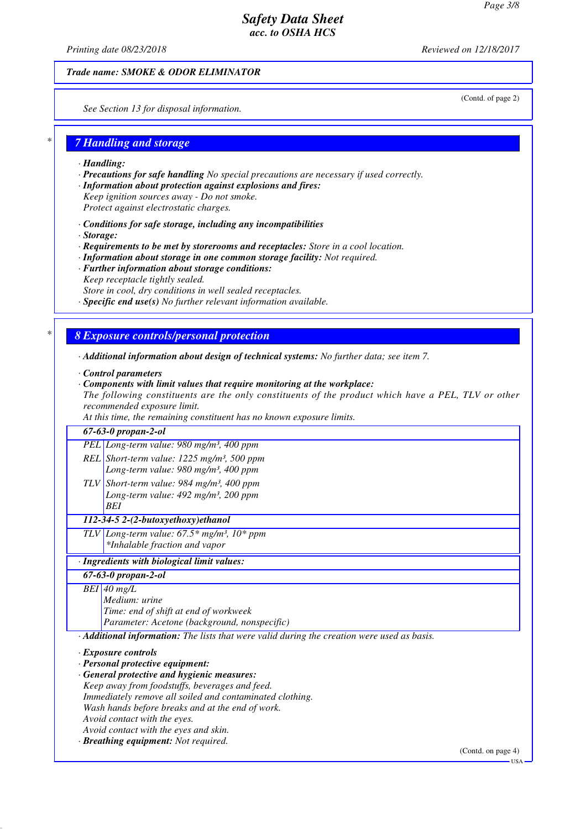*Printing date 08/23/2018 Reviewed on 12/18/2017*

(Contd. of page 2)

USA

*Trade name: SMOKE & ODOR ELIMINATOR*

*See Section 13 for disposal information.*

### *\* 7 Handling and storage*

- *· Handling:*
- *· Precautions for safe handling No special precautions are necessary if used correctly.*
- *· Information about protection against explosions and fires:*
- *Keep ignition sources away Do not smoke.*
- *Protect against electrostatic charges.*
- *· Conditions for safe storage, including any incompatibilities*
- *· Storage:*
- *· Requirements to be met by storerooms and receptacles: Store in a cool location.*
- *· Information about storage in one common storage facility: Not required.*
- *· Further information about storage conditions:*
- *Keep receptacle tightly sealed.*
- *Store in cool, dry conditions in well sealed receptacles.*
- *· Specific end use(s) No further relevant information available.*

### *\* 8 Exposure controls/personal protection*

- *· Additional information about design of technical systems: No further data; see item 7.*
- *· Control parameters*
- *· Components with limit values that require monitoring at the workplace:*

*The following constituents are the only constituents of the product which have a PEL, TLV or other recommended exposure limit.*

*At this time, the remaining constituent has no known exposure limits.*

| $67 - 63 - 0$ propan-2-ol                                                                   |                    |
|---------------------------------------------------------------------------------------------|--------------------|
| PEL Long-term value: 980 mg/m <sup>3</sup> , 400 ppm                                        |                    |
| REL Short-term value: $1225$ mg/m <sup>3</sup> , 500 ppm                                    |                    |
| Long-term value: $980$ mg/m <sup>3</sup> , $400$ ppm                                        |                    |
| TLV Short-term value: 984 mg/m <sup>3</sup> , 400 ppm                                       |                    |
| Long-term value: 492 mg/m <sup>3</sup> , 200 ppm                                            |                    |
| <b>BEI</b>                                                                                  |                    |
| 112-34-5 2-(2-butoxyethoxy)ethanol                                                          |                    |
| TLV Long-term value: $67.5*$ mg/m <sup>3</sup> , $10*$ ppm                                  |                    |
| *Inhalable fraction and vapor                                                               |                    |
| · Ingredients with biological limit values:                                                 |                    |
| $67 - 63 - 0$ propan-2-ol                                                                   |                    |
| $BEI$ 40 mg/L                                                                               |                    |
| Medium: urine                                                                               |                    |
| Time: end of shift at end of workweek                                                       |                    |
| Parameter: Acetone (background, nonspecific)                                                |                    |
| · Additional information: The lists that were valid during the creation were used as basis. |                    |
| <b>Exposure controls</b>                                                                    |                    |
| · Personal protective equipment:                                                            |                    |
| General protective and hygienic measures:                                                   |                    |
| Keep away from foodstuffs, beverages and feed.                                              |                    |
| Immediately remove all soiled and contaminated clothing.                                    |                    |
| Wash hands before breaks and at the end of work.                                            |                    |
| Avoid contact with the eyes.                                                                |                    |
| Avoid contact with the eyes and skin.                                                       |                    |
| · Breathing equipment: Not required.                                                        |                    |
|                                                                                             | (Contd. on page 4) |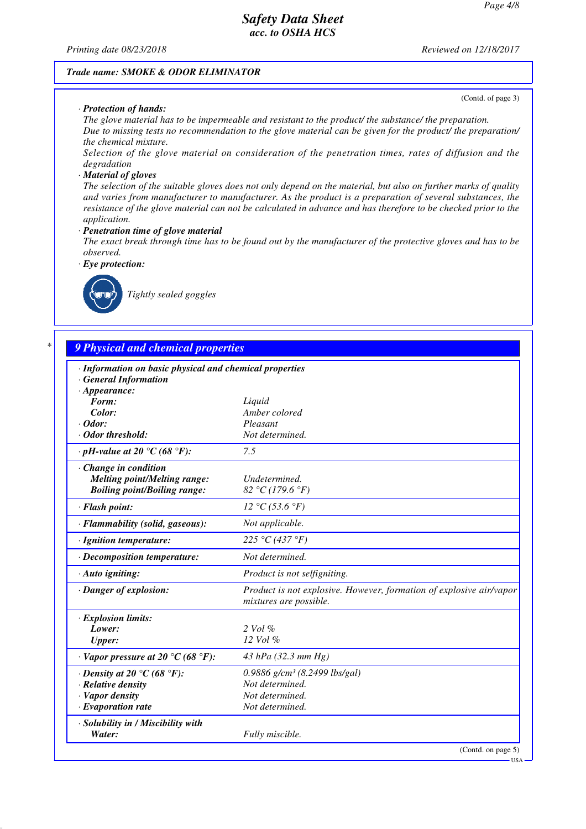*Printing date 08/23/2018 Reviewed on 12/18/2017*

#### *Trade name: SMOKE & ODOR ELIMINATOR*

#### *· Protection of hands:*

(Contd. of page 3)

*The glove material has to be impermeable and resistant to the product/ the substance/ the preparation. Due to missing tests no recommendation to the glove material can be given for the product/ the preparation/ the chemical mixture.*

*Selection of the glove material on consideration of the penetration times, rates of diffusion and the degradation*

#### *· Material of gloves*

*The selection of the suitable gloves does not only depend on the material, but also on further marks of quality and varies from manufacturer to manufacturer. As the product is a preparation of several substances, the resistance of the glove material can not be calculated in advance and has therefore to be checked prior to the application.*

*· Penetration time of glove material*

*The exact break through time has to be found out by the manufacturer of the protective gloves and has to be observed.*

*· Eye protection:*



*Tightly sealed goggles*

# *\* 9 Physical and chemical properties*

| · Information on basic physical and chemical properties |                                                                                               |
|---------------------------------------------------------|-----------------------------------------------------------------------------------------------|
| <b>General Information</b>                              |                                                                                               |
| $\cdot$ Appearance:                                     |                                                                                               |
| Form:<br>Color:                                         | Liquid<br>Amber colored                                                                       |
| $\cdot$ Odor:                                           | Pleasant                                                                                      |
| · Odor threshold:                                       | Not determined.                                                                               |
|                                                         |                                                                                               |
| $\cdot$ pH-value at 20 °C (68 °F):                      | 7.5                                                                                           |
| $\cdot$ Change in condition                             |                                                                                               |
| <b>Melting point/Melting range:</b>                     | Undetermined.                                                                                 |
| <b>Boiling point/Boiling range:</b>                     | 82 °C (179.6 °F)                                                                              |
| · Flash point:                                          | 12 °C (53.6 °F)                                                                               |
| · Flammability (solid, gaseous):                        | Not applicable.                                                                               |
| · Ignition temperature:                                 | 225 °C (437 °F)                                                                               |
| · Decomposition temperature:                            | Not determined.                                                                               |
| $\cdot$ Auto igniting:                                  | Product is not selfigniting.                                                                  |
| · Danger of explosion:                                  | Product is not explosive. However, formation of explosive air/vapor<br>mixtures are possible. |
| · Explosion limits:                                     |                                                                                               |
| Lower:                                                  | $2$ Vol $\%$                                                                                  |
| <b>Upper:</b>                                           | 12 Vol %                                                                                      |
| $\cdot$ Vapor pressure at 20 °C (68 °F):                | 43 hPa $(32.3 \text{ mm Hg})$                                                                 |
| $\cdot$ Density at 20 °C (68 °F):                       | 0.9886 g/cm <sup>3</sup> (8.2499 lbs/gal)                                                     |
| · Relative density                                      | Not determined.                                                                               |
| · Vapor density                                         | Not determined.                                                                               |
| $\cdot$ Evaporation rate                                | Not determined.                                                                               |
| · Solubility in / Miscibility with                      |                                                                                               |
| Water:                                                  | Fully miscible.                                                                               |
|                                                         | (Contd. on page 5)                                                                            |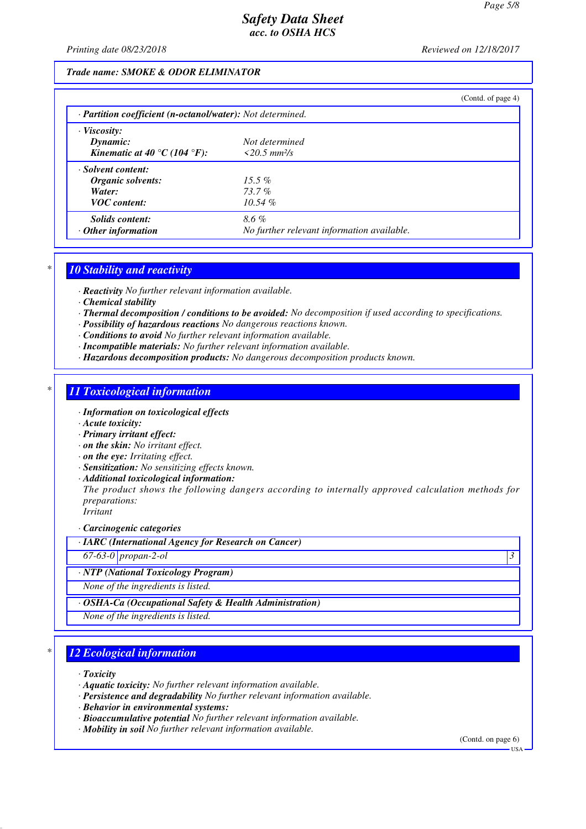*Printing date 08/23/2018 Reviewed on 12/18/2017*

### *Trade name: SMOKE & ODOR ELIMINATOR*

|                                                                         |                                            | (Contd. of page 4) |  |  |  |
|-------------------------------------------------------------------------|--------------------------------------------|--------------------|--|--|--|
| $\cdot$ <b>Partition coefficient (n-octanol/water):</b> Not determined. |                                            |                    |  |  |  |
| $\cdot$ Viscosity:                                                      |                                            |                    |  |  |  |
| Dynamic:                                                                | Not determined                             |                    |  |  |  |
| Kinematic at 40 °C (104 °F):                                            | $\leq$ 20.5 mm <sup>2</sup> /s             |                    |  |  |  |
| · Solvent content:                                                      |                                            |                    |  |  |  |
| Organic solvents:                                                       | $15.5\%$                                   |                    |  |  |  |
| Water:                                                                  | $73.7\%$                                   |                    |  |  |  |
| <b>VOC</b> content:                                                     | $10.54\%$                                  |                    |  |  |  |
| <i>Solids content:</i>                                                  | 8.6%                                       |                    |  |  |  |
| $\cdot$ Other information                                               | No further relevant information available. |                    |  |  |  |

### *\* 10 Stability and reactivity*

*· Reactivity No further relevant information available.*

- *· Chemical stability*
- *· Thermal decomposition / conditions to be avoided: No decomposition if used according to specifications.*
- *· Possibility of hazardous reactions No dangerous reactions known.*
- *· Conditions to avoid No further relevant information available.*
- *· Incompatible materials: No further relevant information available.*
- *· Hazardous decomposition products: No dangerous decomposition products known.*

### *\* 11 Toxicological information*

- *· Information on toxicological effects*
- *· Acute toxicity:*
- *· Primary irritant effect:*
- *· on the skin: No irritant effect.*
- *· on the eye: Irritating effect.*
- *· Sensitization: No sensitizing effects known.*
- *· Additional toxicological information:*

*The product shows the following dangers according to internally approved calculation methods for preparations:*

*Irritant*

*· Carcinogenic categories*

*· IARC (International Agency for Research on Cancer)*

*67-63-0 propan-2-ol 3* 

#### *· NTP (National Toxicology Program)*

*None of the ingredients is listed.*

*· OSHA-Ca (Occupational Safety & Health Administration)*

*None of the ingredients is listed.*

### *\* 12 Ecological information*

*· Toxicity*

- *· Aquatic toxicity: No further relevant information available.*
- *· Persistence and degradability No further relevant information available.*
- *· Behavior in environmental systems:*
- *· Bioaccumulative potential No further relevant information available.*
- *· Mobility in soil No further relevant information available.*

(Contd. on page 6)

USA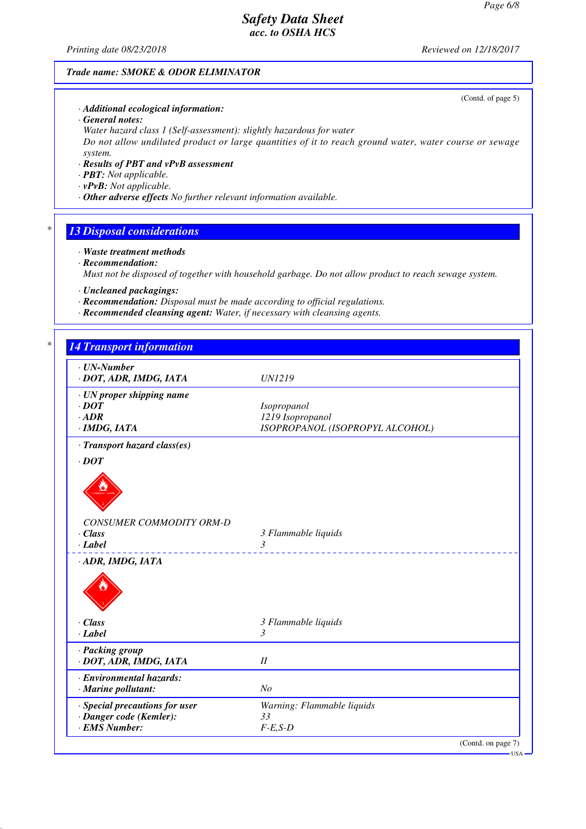*Printing date 08/23/2018 Reviewed on 12/18/2017*

(Contd. of page 5)

### *Trade name: SMOKE & ODOR ELIMINATOR*

*· Additional ecological information:*

*· General notes:*

*Water hazard class 1 (Self-assessment): slightly hazardous for water Do not allow undiluted product or large quantities of it to reach ground water, water course or sewage system.*

- *· Results of PBT and vPvB assessment*
- *· PBT: Not applicable.*
- *· vPvB: Not applicable.*
- *· Other adverse effects No further relevant information available.*

### *\* 13 Disposal considerations*

- *· Waste treatment methods*
- *· Recommendation:*

*Must not be disposed of together with household garbage. Do not allow product to reach sewage system.*

- *· Uncleaned packagings:*
- *· Recommendation: Disposal must be made according to official regulations.*
- *· Recommended cleansing agent: Water, if necessary with cleansing agents.*

| $\cdot$ UN-Number<br>· DOT, ADR, IMDG, IATA | <b>UN1219</b>                   |
|---------------------------------------------|---------------------------------|
| · UN proper shipping name                   |                                 |
| $\cdot$ DOT                                 | Isopropanol                     |
| $\cdot$ ADR                                 | 1219 Isopropanol                |
| $\cdot$ IMDG, IATA                          | ISOPROPANOL (ISOPROPYL ALCOHOL) |
| · Transport hazard class(es)                |                                 |
| $\cdot$ DOT                                 |                                 |
|                                             |                                 |
| CONSUMER COMMODITY ORM-D                    |                                 |
| $\cdot$ Class                               | 3 Flammable liquids             |
| $\cdot$ <i>Label</i>                        | 3                               |
| ---------<br>· ADR, IMDG, IATA              | ___________________________     |
| $\cdot$ Class<br>$-Label$                   | 3 Flammable liquids<br>3        |
| · Packing group                             |                                 |
| · DOT, ADR, IMDG, IATA                      | I                               |
| · Environmental hazards:                    |                                 |
| · Marine pollutant:                         | N <sub>O</sub>                  |
|                                             | Warning: Flammable liquids      |
| · Special precautions for user              |                                 |
| · Danger code (Kemler):<br>· EMS Number:    | 33                              |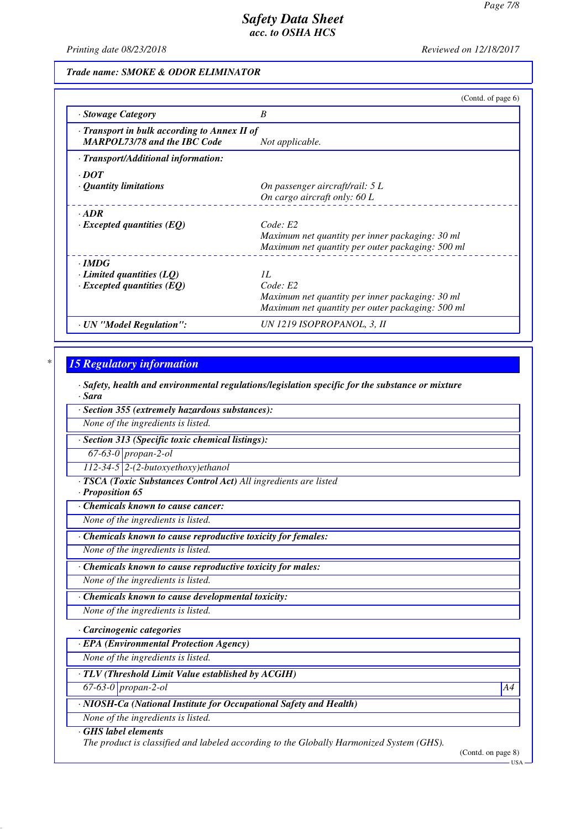*Printing date 08/23/2018 Reviewed on 12/18/2017*

*Trade name: SMOKE & ODOR ELIMINATOR*

|                                                                                     | (Contd. of page $6$ )                            |
|-------------------------------------------------------------------------------------|--------------------------------------------------|
| · Stowage Category                                                                  | B                                                |
| · Transport in bulk according to Annex II of<br><b>MARPOL73/78 and the IBC Code</b> | Not applicable.                                  |
| · Transport/Additional information:                                                 |                                                  |
| $\cdot$ <i>DOT</i>                                                                  |                                                  |
| $\cdot$ Quantity limitations                                                        | On passenger aircraft/rail: 5 L                  |
|                                                                                     | On cargo aircraft only: $60 L$                   |
| $-ADR$                                                                              |                                                  |
| $\cdot$ Excepted quantities (EQ)                                                    | Code: E2                                         |
|                                                                                     | Maximum net quantity per inner packaging: 30 ml  |
|                                                                                     | Maximum net quantity per outer packaging: 500 ml |
| $\cdot$ IMDG                                                                        |                                                  |
| $\cdot$ Limited quantities (LQ)                                                     | IL                                               |
| $\cdot$ Excepted quantities (EQ)                                                    | Code: E2                                         |
|                                                                                     | Maximum net quantity per inner packaging: 30 ml  |
|                                                                                     | Maximum net quantity per outer packaging: 500 ml |
| · UN "Model Regulation":                                                            | UN 1219 ISOPROPANOL, 3, II                       |

# *\* 15 Regulatory information*

*· Safety, health and environmental regulations/legislation specific for the substance or mixture · Sara*

*· Section 355 (extremely hazardous substances):*

*None of the ingredients is listed.*

*· Section 313 (Specific toxic chemical listings):*

*67-63-0 propan-2-ol*

*112-34-5 2-(2-butoxyethoxy)ethanol*

*· TSCA (Toxic Substances Control Act) All ingredients are listed*

*· Proposition 65*

*· Chemicals known to cause cancer:*

*None of the ingredients is listed.*

*· Chemicals known to cause reproductive toxicity for females:*

*None of the ingredients is listed.*

*· Chemicals known to cause reproductive toxicity for males:*

*None of the ingredients is listed.*

*· Chemicals known to cause developmental toxicity:*

*None of the ingredients is listed.*

### *· Carcinogenic categories*

*· EPA (Environmental Protection Agency)*

*None of the ingredients is listed.*

# *· TLV (Threshold Limit Value established by ACGIH)*

*67-63-0 propan-2-ol A4*

*· NIOSH-Ca (National Institute for Occupational Safety and Health)*

*None of the ingredients is listed.*

#### *· GHS label elements*

*The product is classified and labeled according to the Globally Harmonized System (GHS).*

(Contd. on page 8)

USA